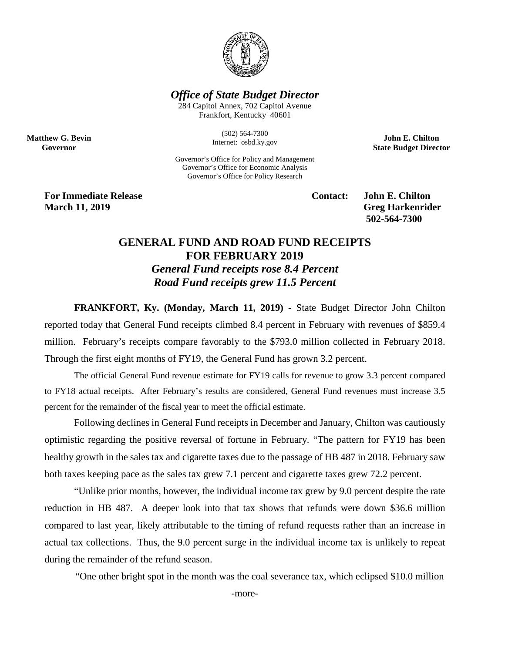

## *Office of State Budget Director*

284 Capitol Annex, 702 Capitol Avenue Frankfort, Kentucky 40601

> (502) 564-7300 Internet: osbd.ky.gov

Governor's Office for Policy and Management Governor's Office for Economic Analysis Governor's Office for Policy Research

**John E. Chilton State Budget Director**

**For Immediate Release Contact: John E. Chilton March 11, 2019** Greg Harkenrider

**Matthew G. Bevin Governor**

**502-564-7300** 

## **GENERAL FUND AND ROAD FUND RECEIPTS FOR FEBRUARY 2019** *General Fund receipts rose 8.4 Percent Road Fund receipts grew 11.5 Percent*

**FRANKFORT, Ky. (Monday, March 11, 2019)** - State Budget Director John Chilton reported today that General Fund receipts climbed 8.4 percent in February with revenues of \$859.4 million. February's receipts compare favorably to the \$793.0 million collected in February 2018. Through the first eight months of FY19, the General Fund has grown 3.2 percent.

The official General Fund revenue estimate for FY19 calls for revenue to grow 3.3 percent compared to FY18 actual receipts. After February's results are considered, General Fund revenues must increase 3.5 percent for the remainder of the fiscal year to meet the official estimate.

Following declines in General Fund receipts in December and January, Chilton was cautiously optimistic regarding the positive reversal of fortune in February. "The pattern for FY19 has been healthy growth in the sales tax and cigarette taxes due to the passage of HB 487 in 2018. February saw both taxes keeping pace as the sales tax grew 7.1 percent and cigarette taxes grew 72.2 percent.

"Unlike prior months, however, the individual income tax grew by 9.0 percent despite the rate reduction in HB 487. A deeper look into that tax shows that refunds were down \$36.6 million compared to last year, likely attributable to the timing of refund requests rather than an increase in actual tax collections. Thus, the 9.0 percent surge in the individual income tax is unlikely to repeat during the remainder of the refund season.

"One other bright spot in the month was the coal severance tax, which eclipsed \$10.0 million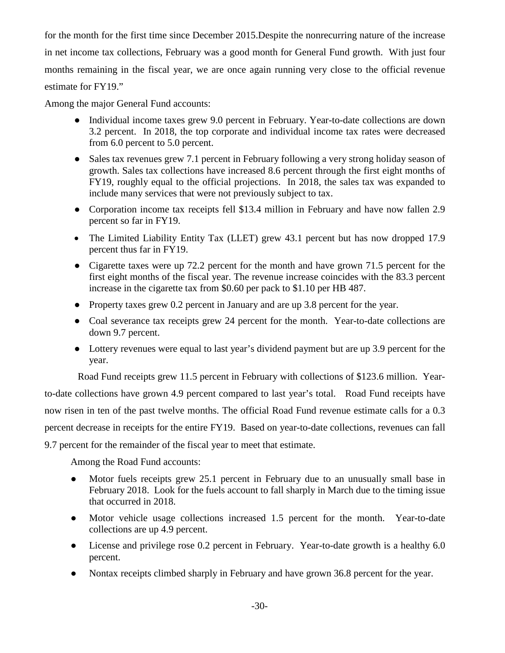for the month for the first time since December 2015.Despite the nonrecurring nature of the increase in net income tax collections, February was a good month for General Fund growth. With just four months remaining in the fiscal year, we are once again running very close to the official revenue estimate for FY19."

Among the major General Fund accounts:

- Individual income taxes grew 9.0 percent in February. Year-to-date collections are down 3.2 percent. In 2018, the top corporate and individual income tax rates were decreased from 6.0 percent to 5.0 percent.
- Sales tax revenues grew 7.1 percent in February following a very strong holiday season of growth. Sales tax collections have increased 8.6 percent through the first eight months of FY19, roughly equal to the official projections. In 2018, the sales tax was expanded to include many services that were not previously subject to tax.
- Corporation income tax receipts fell \$13.4 million in February and have now fallen 2.9 percent so far in FY19.
- The Limited Liability Entity Tax (LLET) grew 43.1 percent but has now dropped 17.9 percent thus far in FY19.
- Cigarette taxes were up 72.2 percent for the month and have grown 71.5 percent for the first eight months of the fiscal year. The revenue increase coincides with the 83.3 percent increase in the cigarette tax from \$0.60 per pack to \$1.10 per HB 487.
- Property taxes grew 0.2 percent in January and are up 3.8 percent for the year.
- Coal severance tax receipts grew 24 percent for the month. Year-to-date collections are down 9.7 percent.
- Lottery revenues were equal to last year's dividend payment but are up 3.9 percent for the year.

Road Fund receipts grew 11.5 percent in February with collections of \$123.6 million. Year-

to-date collections have grown 4.9 percent compared to last year's total. Road Fund receipts have now risen in ten of the past twelve months. The official Road Fund revenue estimate calls for a 0.3 percent decrease in receipts for the entire FY19. Based on year-to-date collections, revenues can fall 9.7 percent for the remainder of the fiscal year to meet that estimate.

Among the Road Fund accounts:

- Motor fuels receipts grew 25.1 percent in February due to an unusually small base in February 2018. Look for the fuels account to fall sharply in March due to the timing issue that occurred in 2018.
- Motor vehicle usage collections increased 1.5 percent for the month. Year-to-date collections are up 4.9 percent.
- License and privilege rose 0.2 percent in February. Year-to-date growth is a healthy 6.0 percent.
- Nontax receipts climbed sharply in February and have grown 36.8 percent for the year.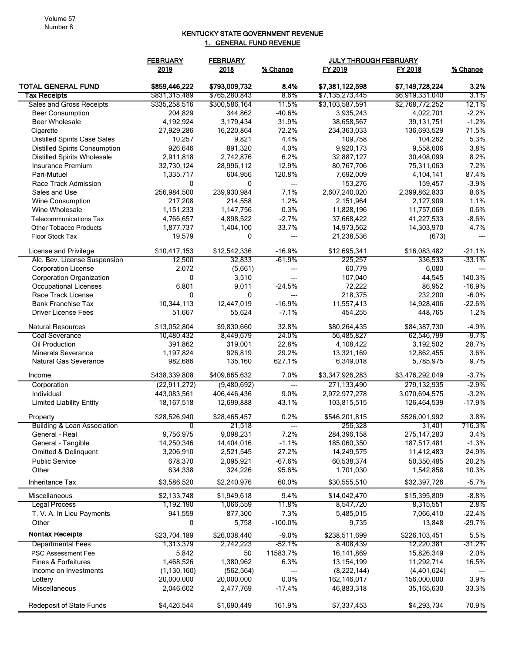## KENTUCKY STATE GOVERNMENT REVENUE 1. GENERAL FUND REVENUE

| FY 2019<br>FY 2018<br>2019<br>2018<br>% Change<br>% Change<br><b>TOTAL GENERAL FUND</b><br>3.2%<br>\$859,446,222<br>\$793,009,732<br>8.4%<br>\$7,381,122,598<br>\$7,149,728,224<br><b>Tax Receipts</b><br>\$831,315,489<br>\$765,280,843<br>\$7,135,273,445<br>\$6,919,331,040<br>3.1%<br>8.6%<br>\$300,586,164<br>11.5%<br>12.1%<br>Sales and Gross Receipts<br>\$335,258,516<br>\$3,103,587,591<br>\$2,768,772,252<br><b>Beer Consumption</b><br>204,829<br>344,862<br>-40.6%<br>3,935,243<br>4,022,701<br>$-2.2\%$<br>4,192,924<br>3,179,434<br>31.9%<br>39,131,751<br>$-1.2%$<br><b>Beer Wholesale</b><br>38,658,567<br>71.5%<br>27,929,286<br>16,220,864<br>72.2%<br>Cigarette<br>234,363,033<br>136,693,529<br>4.4%<br><b>Distilled Spirits Case Sales</b><br>9,821<br>5.3%<br>10,257<br>109,758<br>104,262<br>926,646<br>891,320<br>4.0%<br>9,920,173<br>9,558,606<br>3.8%<br><b>Distilled Spirits Consumption</b><br>6.2%<br>8.2%<br>2,911,818<br>2,742,876<br><b>Distilled Spirits Wholesale</b><br>32,887,127<br>30,408,099<br>12.9%<br>7.2%<br><b>Insurance Premium</b><br>32,730,124<br>28,996,112<br>80,767,706<br>75,311,063<br>120.8%<br>87.4%<br>Pari-Mutuel<br>1,335,717<br>604,956<br>7,692,009<br>4,104,141<br>$-3.9%$<br>Race Track Admission<br>0<br>0<br>153,276<br>159,457<br>---<br>8.6%<br>256,984,500<br>239,930,984<br>7.1%<br>2,607,240,020<br>2,399,862,833<br>Sales and Use<br>1.2%<br>1.1%<br>Wine Consumption<br>217,208<br>214,558<br>2,151,964<br>2,127,909<br>0.6%<br>0.3%<br>Wine Wholesale<br>1,151,233<br>1,147,756<br>11,828,196<br>11,757,069<br>$-2.7%$<br>$-8.6%$<br><b>Telecommunications Tax</b><br>4,766,657<br>4,898,522<br>37,668,422<br>41,227,533<br>33.7%<br><b>Other Tobacco Products</b><br>1,877,737<br>1,404,100<br>14,973,562<br>14,303,970<br>4.7%<br>19,579<br>Floor Stock Tax<br>0<br>21,238,536<br>(673)<br>---<br>---<br>$-16.9%$<br>\$16,083,482<br>License and Privilege<br>\$10,417,153<br>\$12,542,336<br>\$12,695,341<br>$-21.1%$<br>-61.9%<br>-33.1%<br>Alc. Bev. License Suspension<br>12,500<br>32,833<br>225,257<br>336,533<br>2,072<br>60,779<br><b>Corporation License</b><br>(5,661)<br>6,080<br>---<br>0<br>3,510<br>107,040<br>44,545<br>140.3%<br><b>Corporation Organization</b><br>---<br>6,801<br>9,011<br>$-24.5%$<br>72,222<br>86,952<br>$-16.9%$<br>Occupational Licenses<br>Race Track License<br>218,375<br>232,200<br>$-6.0%$<br>0<br>0<br>---<br><b>Bank Franchise Tax</b><br>$-16.9%$<br>$-22.6%$<br>10,344,113<br>12,447,019<br>11,557,413<br>14,928,406<br>$-7.1%$<br><b>Driver License Fees</b><br>51,667<br>55,624<br>454,255<br>448,765<br>1.2%<br>32.8%<br><b>Natural Resources</b><br>\$13,052,804<br>\$9,830,660<br>\$80,264,435<br>\$84,387,730<br>$-4.9%$<br>24.0%<br>-9.7%<br>Coal Severance<br>10,480,432<br>8,449,679<br>56,485,827<br>62,546,799<br>22.8%<br>319,001<br>28.7%<br>Oil Production<br>391,862<br>4,108,422<br>3,192,502<br>29.2%<br>3.6%<br><b>Minerals Severance</b><br>1,197,824<br>926,819<br>12,862,455<br>13,321,169<br>9.7%<br>Natural Gas Severance<br>982,686<br>135,160<br>627.1%<br>6,349,018<br>5,785,975<br>\$438,339,808<br>\$409,665,632<br>7.0%<br>\$3,347,926,283<br>\$3,476,292,049<br>$-3.7%$<br>Income<br>$-2.9%$<br>(22, 911, 272)<br>(9,480,692)<br>271,133,490<br>279,132,935<br>Corporation<br>---<br>443,083,561<br>406,446,436<br>9.0%<br>2,972,977,278<br>3,070,694,575<br>$-3.2%$<br>Individual<br>43.1%<br><b>Limited Liability Entity</b><br>$-17.9%$<br>18,167,518<br>12,699,888<br>103,815,515<br>126,464,539<br>\$28,526,940<br>\$28,465,457<br>0.2%<br>\$546,201,815<br>\$526,001,992<br>3.8%<br>Property<br>716.3%<br>21,518<br><b>Building &amp; Loan Association</b><br>256,328<br>31,401<br>9,756,975<br>9,098,231<br>7.2%<br>284,396,158<br>275, 147, 283<br>3.4%<br>General - Real<br>$-1.1%$<br>General - Tangible<br>14,250,346<br>14,404,016<br>185,060,350<br>187,517,481<br>$-1.3%$<br>27.2%<br>24.9%<br>Omitted & Delinquent<br>3,206,910<br>2,521,545<br>14,249,575<br>11,412,483<br>20.2%<br><b>Public Service</b><br>678,370<br>2,095,921<br>$-67.6%$<br>60,538,374<br>50,350,485<br>Other<br>634,338<br>324,226<br>95.6%<br>1,701,030<br>1,542,858<br>10.3%<br>$-5.7%$<br>Inheritance Tax<br>\$3,586,520<br>\$2,240,976<br>60.0%<br>\$30,555,510<br>\$32,397,726<br>\$2,133,748<br>9.4%<br>$-8.8%$<br>Miscellaneous<br>\$1,949,618<br>\$14,042,470<br>\$15,395,809<br><b>Legal Process</b><br>1,192,190<br>1,066,559<br>11.8%<br>8,547,720<br>8,315,551<br>2.8%<br>$-22.4%$<br>T. V. A. In Lieu Payments<br>941,559<br>877,300<br>7.3%<br>7,066,410<br>5,485,015<br>$-29.7%$<br>5,758<br>$-100.0\%$<br>9,735<br>13,848<br>Other<br>0<br>NONTAX Receipts<br>5.5%<br>\$23,704,189<br>\$26,038,440<br>$-9.0%$<br>\$238,511,699<br>\$226,103,451<br><b>Departmental Fees</b><br>-52.1%<br>8,408,439<br>12,220,381<br>-31.2%<br>1,313,379<br>2,742,223<br>11583.7%<br>5,842<br>50<br>15,826,349<br>2.0%<br><b>PSC Assessment Fee</b><br>16,141,869<br>Fines & Forfeitures<br>1,468,526<br>1,380,962<br>6.3%<br>13,154,199<br>11,292,714<br>16.5%<br>Income on Investments<br>(1, 130, 160)<br>(562, 564)<br>(8,222,144)<br>(4,401,624)<br>0.0%<br>20,000,000<br>162,146,017<br>3.9%<br>20,000,000<br>156,000,000<br>Lottery<br>Miscellaneous<br>2,046,602<br>2,477,769<br>$-17.4%$<br>46,883,318<br>33.3%<br>35,165,630<br>Redeposit of State Funds<br>\$4,426,544<br>\$1,690,449<br>161.9%<br>\$7,337,453<br>\$4,293,734<br>70.9% | <b>FEBRUARY</b> | <b>FEBRUARY</b> | <b>JULY THROUGH FEBRUARY</b> |  |  |
|-------------------------------------------------------------------------------------------------------------------------------------------------------------------------------------------------------------------------------------------------------------------------------------------------------------------------------------------------------------------------------------------------------------------------------------------------------------------------------------------------------------------------------------------------------------------------------------------------------------------------------------------------------------------------------------------------------------------------------------------------------------------------------------------------------------------------------------------------------------------------------------------------------------------------------------------------------------------------------------------------------------------------------------------------------------------------------------------------------------------------------------------------------------------------------------------------------------------------------------------------------------------------------------------------------------------------------------------------------------------------------------------------------------------------------------------------------------------------------------------------------------------------------------------------------------------------------------------------------------------------------------------------------------------------------------------------------------------------------------------------------------------------------------------------------------------------------------------------------------------------------------------------------------------------------------------------------------------------------------------------------------------------------------------------------------------------------------------------------------------------------------------------------------------------------------------------------------------------------------------------------------------------------------------------------------------------------------------------------------------------------------------------------------------------------------------------------------------------------------------------------------------------------------------------------------------------------------------------------------------------------------------------------------------------------------------------------------------------------------------------------------------------------------------------------------------------------------------------------------------------------------------------------------------------------------------------------------------------------------------------------------------------------------------------------------------------------------------------------------------------------------------------------------------------------------------------------------------------------------------------------------------------------------------------------------------------------------------------------------------------------------------------------------------------------------------------------------------------------------------------------------------------------------------------------------------------------------------------------------------------------------------------------------------------------------------------------------------------------------------------------------------------------------------------------------------------------------------------------------------------------------------------------------------------------------------------------------------------------------------------------------------------------------------------------------------------------------------------------------------------------------------------------------------------------------------------------------------------------------------------------------------------------------------------------------------------------------------------------------------------------------------------------------------------------------------------------------------------------------------------------------------------------------------------------------------------------------------------------------------------------------------------------------------------------------------------------------------------------------------------------------------------------------------------------------------------------------------------------------------------------------------------------------------------------------------------------------------------------------------------------------------------------------------------------------------------------------------------------------------------------------------------------------------------------------------------------------------------------------------------------------------------------------------------------------------------------------------------------------------------------------------------------------------------------------------------------------------------------------------------|-----------------|-----------------|------------------------------|--|--|
|                                                                                                                                                                                                                                                                                                                                                                                                                                                                                                                                                                                                                                                                                                                                                                                                                                                                                                                                                                                                                                                                                                                                                                                                                                                                                                                                                                                                                                                                                                                                                                                                                                                                                                                                                                                                                                                                                                                                                                                                                                                                                                                                                                                                                                                                                                                                                                                                                                                                                                                                                                                                                                                                                                                                                                                                                                                                                                                                                                                                                                                                                                                                                                                                                                                                                                                                                                                                                                                                                                                                                                                                                                                                                                                                                                                                                                                                                                                                                                                                                                                                                                                                                                                                                                                                                                                                                                                                                                                                                                                                                                                                                                                                                                                                                                                                                                                                                                                                                                                                                                                                                                                                                                                                                                                                                                                                                                                                                                                                                                 |                 |                 |                              |  |  |
|                                                                                                                                                                                                                                                                                                                                                                                                                                                                                                                                                                                                                                                                                                                                                                                                                                                                                                                                                                                                                                                                                                                                                                                                                                                                                                                                                                                                                                                                                                                                                                                                                                                                                                                                                                                                                                                                                                                                                                                                                                                                                                                                                                                                                                                                                                                                                                                                                                                                                                                                                                                                                                                                                                                                                                                                                                                                                                                                                                                                                                                                                                                                                                                                                                                                                                                                                                                                                                                                                                                                                                                                                                                                                                                                                                                                                                                                                                                                                                                                                                                                                                                                                                                                                                                                                                                                                                                                                                                                                                                                                                                                                                                                                                                                                                                                                                                                                                                                                                                                                                                                                                                                                                                                                                                                                                                                                                                                                                                                                                 |                 |                 |                              |  |  |
|                                                                                                                                                                                                                                                                                                                                                                                                                                                                                                                                                                                                                                                                                                                                                                                                                                                                                                                                                                                                                                                                                                                                                                                                                                                                                                                                                                                                                                                                                                                                                                                                                                                                                                                                                                                                                                                                                                                                                                                                                                                                                                                                                                                                                                                                                                                                                                                                                                                                                                                                                                                                                                                                                                                                                                                                                                                                                                                                                                                                                                                                                                                                                                                                                                                                                                                                                                                                                                                                                                                                                                                                                                                                                                                                                                                                                                                                                                                                                                                                                                                                                                                                                                                                                                                                                                                                                                                                                                                                                                                                                                                                                                                                                                                                                                                                                                                                                                                                                                                                                                                                                                                                                                                                                                                                                                                                                                                                                                                                                                 |                 |                 |                              |  |  |
|                                                                                                                                                                                                                                                                                                                                                                                                                                                                                                                                                                                                                                                                                                                                                                                                                                                                                                                                                                                                                                                                                                                                                                                                                                                                                                                                                                                                                                                                                                                                                                                                                                                                                                                                                                                                                                                                                                                                                                                                                                                                                                                                                                                                                                                                                                                                                                                                                                                                                                                                                                                                                                                                                                                                                                                                                                                                                                                                                                                                                                                                                                                                                                                                                                                                                                                                                                                                                                                                                                                                                                                                                                                                                                                                                                                                                                                                                                                                                                                                                                                                                                                                                                                                                                                                                                                                                                                                                                                                                                                                                                                                                                                                                                                                                                                                                                                                                                                                                                                                                                                                                                                                                                                                                                                                                                                                                                                                                                                                                                 |                 |                 |                              |  |  |
|                                                                                                                                                                                                                                                                                                                                                                                                                                                                                                                                                                                                                                                                                                                                                                                                                                                                                                                                                                                                                                                                                                                                                                                                                                                                                                                                                                                                                                                                                                                                                                                                                                                                                                                                                                                                                                                                                                                                                                                                                                                                                                                                                                                                                                                                                                                                                                                                                                                                                                                                                                                                                                                                                                                                                                                                                                                                                                                                                                                                                                                                                                                                                                                                                                                                                                                                                                                                                                                                                                                                                                                                                                                                                                                                                                                                                                                                                                                                                                                                                                                                                                                                                                                                                                                                                                                                                                                                                                                                                                                                                                                                                                                                                                                                                                                                                                                                                                                                                                                                                                                                                                                                                                                                                                                                                                                                                                                                                                                                                                 |                 |                 |                              |  |  |
|                                                                                                                                                                                                                                                                                                                                                                                                                                                                                                                                                                                                                                                                                                                                                                                                                                                                                                                                                                                                                                                                                                                                                                                                                                                                                                                                                                                                                                                                                                                                                                                                                                                                                                                                                                                                                                                                                                                                                                                                                                                                                                                                                                                                                                                                                                                                                                                                                                                                                                                                                                                                                                                                                                                                                                                                                                                                                                                                                                                                                                                                                                                                                                                                                                                                                                                                                                                                                                                                                                                                                                                                                                                                                                                                                                                                                                                                                                                                                                                                                                                                                                                                                                                                                                                                                                                                                                                                                                                                                                                                                                                                                                                                                                                                                                                                                                                                                                                                                                                                                                                                                                                                                                                                                                                                                                                                                                                                                                                                                                 |                 |                 |                              |  |  |
|                                                                                                                                                                                                                                                                                                                                                                                                                                                                                                                                                                                                                                                                                                                                                                                                                                                                                                                                                                                                                                                                                                                                                                                                                                                                                                                                                                                                                                                                                                                                                                                                                                                                                                                                                                                                                                                                                                                                                                                                                                                                                                                                                                                                                                                                                                                                                                                                                                                                                                                                                                                                                                                                                                                                                                                                                                                                                                                                                                                                                                                                                                                                                                                                                                                                                                                                                                                                                                                                                                                                                                                                                                                                                                                                                                                                                                                                                                                                                                                                                                                                                                                                                                                                                                                                                                                                                                                                                                                                                                                                                                                                                                                                                                                                                                                                                                                                                                                                                                                                                                                                                                                                                                                                                                                                                                                                                                                                                                                                                                 |                 |                 |                              |  |  |
|                                                                                                                                                                                                                                                                                                                                                                                                                                                                                                                                                                                                                                                                                                                                                                                                                                                                                                                                                                                                                                                                                                                                                                                                                                                                                                                                                                                                                                                                                                                                                                                                                                                                                                                                                                                                                                                                                                                                                                                                                                                                                                                                                                                                                                                                                                                                                                                                                                                                                                                                                                                                                                                                                                                                                                                                                                                                                                                                                                                                                                                                                                                                                                                                                                                                                                                                                                                                                                                                                                                                                                                                                                                                                                                                                                                                                                                                                                                                                                                                                                                                                                                                                                                                                                                                                                                                                                                                                                                                                                                                                                                                                                                                                                                                                                                                                                                                                                                                                                                                                                                                                                                                                                                                                                                                                                                                                                                                                                                                                                 |                 |                 |                              |  |  |
|                                                                                                                                                                                                                                                                                                                                                                                                                                                                                                                                                                                                                                                                                                                                                                                                                                                                                                                                                                                                                                                                                                                                                                                                                                                                                                                                                                                                                                                                                                                                                                                                                                                                                                                                                                                                                                                                                                                                                                                                                                                                                                                                                                                                                                                                                                                                                                                                                                                                                                                                                                                                                                                                                                                                                                                                                                                                                                                                                                                                                                                                                                                                                                                                                                                                                                                                                                                                                                                                                                                                                                                                                                                                                                                                                                                                                                                                                                                                                                                                                                                                                                                                                                                                                                                                                                                                                                                                                                                                                                                                                                                                                                                                                                                                                                                                                                                                                                                                                                                                                                                                                                                                                                                                                                                                                                                                                                                                                                                                                                 |                 |                 |                              |  |  |
|                                                                                                                                                                                                                                                                                                                                                                                                                                                                                                                                                                                                                                                                                                                                                                                                                                                                                                                                                                                                                                                                                                                                                                                                                                                                                                                                                                                                                                                                                                                                                                                                                                                                                                                                                                                                                                                                                                                                                                                                                                                                                                                                                                                                                                                                                                                                                                                                                                                                                                                                                                                                                                                                                                                                                                                                                                                                                                                                                                                                                                                                                                                                                                                                                                                                                                                                                                                                                                                                                                                                                                                                                                                                                                                                                                                                                                                                                                                                                                                                                                                                                                                                                                                                                                                                                                                                                                                                                                                                                                                                                                                                                                                                                                                                                                                                                                                                                                                                                                                                                                                                                                                                                                                                                                                                                                                                                                                                                                                                                                 |                 |                 |                              |  |  |
|                                                                                                                                                                                                                                                                                                                                                                                                                                                                                                                                                                                                                                                                                                                                                                                                                                                                                                                                                                                                                                                                                                                                                                                                                                                                                                                                                                                                                                                                                                                                                                                                                                                                                                                                                                                                                                                                                                                                                                                                                                                                                                                                                                                                                                                                                                                                                                                                                                                                                                                                                                                                                                                                                                                                                                                                                                                                                                                                                                                                                                                                                                                                                                                                                                                                                                                                                                                                                                                                                                                                                                                                                                                                                                                                                                                                                                                                                                                                                                                                                                                                                                                                                                                                                                                                                                                                                                                                                                                                                                                                                                                                                                                                                                                                                                                                                                                                                                                                                                                                                                                                                                                                                                                                                                                                                                                                                                                                                                                                                                 |                 |                 |                              |  |  |
|                                                                                                                                                                                                                                                                                                                                                                                                                                                                                                                                                                                                                                                                                                                                                                                                                                                                                                                                                                                                                                                                                                                                                                                                                                                                                                                                                                                                                                                                                                                                                                                                                                                                                                                                                                                                                                                                                                                                                                                                                                                                                                                                                                                                                                                                                                                                                                                                                                                                                                                                                                                                                                                                                                                                                                                                                                                                                                                                                                                                                                                                                                                                                                                                                                                                                                                                                                                                                                                                                                                                                                                                                                                                                                                                                                                                                                                                                                                                                                                                                                                                                                                                                                                                                                                                                                                                                                                                                                                                                                                                                                                                                                                                                                                                                                                                                                                                                                                                                                                                                                                                                                                                                                                                                                                                                                                                                                                                                                                                                                 |                 |                 |                              |  |  |
|                                                                                                                                                                                                                                                                                                                                                                                                                                                                                                                                                                                                                                                                                                                                                                                                                                                                                                                                                                                                                                                                                                                                                                                                                                                                                                                                                                                                                                                                                                                                                                                                                                                                                                                                                                                                                                                                                                                                                                                                                                                                                                                                                                                                                                                                                                                                                                                                                                                                                                                                                                                                                                                                                                                                                                                                                                                                                                                                                                                                                                                                                                                                                                                                                                                                                                                                                                                                                                                                                                                                                                                                                                                                                                                                                                                                                                                                                                                                                                                                                                                                                                                                                                                                                                                                                                                                                                                                                                                                                                                                                                                                                                                                                                                                                                                                                                                                                                                                                                                                                                                                                                                                                                                                                                                                                                                                                                                                                                                                                                 |                 |                 |                              |  |  |
|                                                                                                                                                                                                                                                                                                                                                                                                                                                                                                                                                                                                                                                                                                                                                                                                                                                                                                                                                                                                                                                                                                                                                                                                                                                                                                                                                                                                                                                                                                                                                                                                                                                                                                                                                                                                                                                                                                                                                                                                                                                                                                                                                                                                                                                                                                                                                                                                                                                                                                                                                                                                                                                                                                                                                                                                                                                                                                                                                                                                                                                                                                                                                                                                                                                                                                                                                                                                                                                                                                                                                                                                                                                                                                                                                                                                                                                                                                                                                                                                                                                                                                                                                                                                                                                                                                                                                                                                                                                                                                                                                                                                                                                                                                                                                                                                                                                                                                                                                                                                                                                                                                                                                                                                                                                                                                                                                                                                                                                                                                 |                 |                 |                              |  |  |
|                                                                                                                                                                                                                                                                                                                                                                                                                                                                                                                                                                                                                                                                                                                                                                                                                                                                                                                                                                                                                                                                                                                                                                                                                                                                                                                                                                                                                                                                                                                                                                                                                                                                                                                                                                                                                                                                                                                                                                                                                                                                                                                                                                                                                                                                                                                                                                                                                                                                                                                                                                                                                                                                                                                                                                                                                                                                                                                                                                                                                                                                                                                                                                                                                                                                                                                                                                                                                                                                                                                                                                                                                                                                                                                                                                                                                                                                                                                                                                                                                                                                                                                                                                                                                                                                                                                                                                                                                                                                                                                                                                                                                                                                                                                                                                                                                                                                                                                                                                                                                                                                                                                                                                                                                                                                                                                                                                                                                                                                                                 |                 |                 |                              |  |  |
|                                                                                                                                                                                                                                                                                                                                                                                                                                                                                                                                                                                                                                                                                                                                                                                                                                                                                                                                                                                                                                                                                                                                                                                                                                                                                                                                                                                                                                                                                                                                                                                                                                                                                                                                                                                                                                                                                                                                                                                                                                                                                                                                                                                                                                                                                                                                                                                                                                                                                                                                                                                                                                                                                                                                                                                                                                                                                                                                                                                                                                                                                                                                                                                                                                                                                                                                                                                                                                                                                                                                                                                                                                                                                                                                                                                                                                                                                                                                                                                                                                                                                                                                                                                                                                                                                                                                                                                                                                                                                                                                                                                                                                                                                                                                                                                                                                                                                                                                                                                                                                                                                                                                                                                                                                                                                                                                                                                                                                                                                                 |                 |                 |                              |  |  |
|                                                                                                                                                                                                                                                                                                                                                                                                                                                                                                                                                                                                                                                                                                                                                                                                                                                                                                                                                                                                                                                                                                                                                                                                                                                                                                                                                                                                                                                                                                                                                                                                                                                                                                                                                                                                                                                                                                                                                                                                                                                                                                                                                                                                                                                                                                                                                                                                                                                                                                                                                                                                                                                                                                                                                                                                                                                                                                                                                                                                                                                                                                                                                                                                                                                                                                                                                                                                                                                                                                                                                                                                                                                                                                                                                                                                                                                                                                                                                                                                                                                                                                                                                                                                                                                                                                                                                                                                                                                                                                                                                                                                                                                                                                                                                                                                                                                                                                                                                                                                                                                                                                                                                                                                                                                                                                                                                                                                                                                                                                 |                 |                 |                              |  |  |
|                                                                                                                                                                                                                                                                                                                                                                                                                                                                                                                                                                                                                                                                                                                                                                                                                                                                                                                                                                                                                                                                                                                                                                                                                                                                                                                                                                                                                                                                                                                                                                                                                                                                                                                                                                                                                                                                                                                                                                                                                                                                                                                                                                                                                                                                                                                                                                                                                                                                                                                                                                                                                                                                                                                                                                                                                                                                                                                                                                                                                                                                                                                                                                                                                                                                                                                                                                                                                                                                                                                                                                                                                                                                                                                                                                                                                                                                                                                                                                                                                                                                                                                                                                                                                                                                                                                                                                                                                                                                                                                                                                                                                                                                                                                                                                                                                                                                                                                                                                                                                                                                                                                                                                                                                                                                                                                                                                                                                                                                                                 |                 |                 |                              |  |  |
|                                                                                                                                                                                                                                                                                                                                                                                                                                                                                                                                                                                                                                                                                                                                                                                                                                                                                                                                                                                                                                                                                                                                                                                                                                                                                                                                                                                                                                                                                                                                                                                                                                                                                                                                                                                                                                                                                                                                                                                                                                                                                                                                                                                                                                                                                                                                                                                                                                                                                                                                                                                                                                                                                                                                                                                                                                                                                                                                                                                                                                                                                                                                                                                                                                                                                                                                                                                                                                                                                                                                                                                                                                                                                                                                                                                                                                                                                                                                                                                                                                                                                                                                                                                                                                                                                                                                                                                                                                                                                                                                                                                                                                                                                                                                                                                                                                                                                                                                                                                                                                                                                                                                                                                                                                                                                                                                                                                                                                                                                                 |                 |                 |                              |  |  |
|                                                                                                                                                                                                                                                                                                                                                                                                                                                                                                                                                                                                                                                                                                                                                                                                                                                                                                                                                                                                                                                                                                                                                                                                                                                                                                                                                                                                                                                                                                                                                                                                                                                                                                                                                                                                                                                                                                                                                                                                                                                                                                                                                                                                                                                                                                                                                                                                                                                                                                                                                                                                                                                                                                                                                                                                                                                                                                                                                                                                                                                                                                                                                                                                                                                                                                                                                                                                                                                                                                                                                                                                                                                                                                                                                                                                                                                                                                                                                                                                                                                                                                                                                                                                                                                                                                                                                                                                                                                                                                                                                                                                                                                                                                                                                                                                                                                                                                                                                                                                                                                                                                                                                                                                                                                                                                                                                                                                                                                                                                 |                 |                 |                              |  |  |
|                                                                                                                                                                                                                                                                                                                                                                                                                                                                                                                                                                                                                                                                                                                                                                                                                                                                                                                                                                                                                                                                                                                                                                                                                                                                                                                                                                                                                                                                                                                                                                                                                                                                                                                                                                                                                                                                                                                                                                                                                                                                                                                                                                                                                                                                                                                                                                                                                                                                                                                                                                                                                                                                                                                                                                                                                                                                                                                                                                                                                                                                                                                                                                                                                                                                                                                                                                                                                                                                                                                                                                                                                                                                                                                                                                                                                                                                                                                                                                                                                                                                                                                                                                                                                                                                                                                                                                                                                                                                                                                                                                                                                                                                                                                                                                                                                                                                                                                                                                                                                                                                                                                                                                                                                                                                                                                                                                                                                                                                                                 |                 |                 |                              |  |  |
|                                                                                                                                                                                                                                                                                                                                                                                                                                                                                                                                                                                                                                                                                                                                                                                                                                                                                                                                                                                                                                                                                                                                                                                                                                                                                                                                                                                                                                                                                                                                                                                                                                                                                                                                                                                                                                                                                                                                                                                                                                                                                                                                                                                                                                                                                                                                                                                                                                                                                                                                                                                                                                                                                                                                                                                                                                                                                                                                                                                                                                                                                                                                                                                                                                                                                                                                                                                                                                                                                                                                                                                                                                                                                                                                                                                                                                                                                                                                                                                                                                                                                                                                                                                                                                                                                                                                                                                                                                                                                                                                                                                                                                                                                                                                                                                                                                                                                                                                                                                                                                                                                                                                                                                                                                                                                                                                                                                                                                                                                                 |                 |                 |                              |  |  |
|                                                                                                                                                                                                                                                                                                                                                                                                                                                                                                                                                                                                                                                                                                                                                                                                                                                                                                                                                                                                                                                                                                                                                                                                                                                                                                                                                                                                                                                                                                                                                                                                                                                                                                                                                                                                                                                                                                                                                                                                                                                                                                                                                                                                                                                                                                                                                                                                                                                                                                                                                                                                                                                                                                                                                                                                                                                                                                                                                                                                                                                                                                                                                                                                                                                                                                                                                                                                                                                                                                                                                                                                                                                                                                                                                                                                                                                                                                                                                                                                                                                                                                                                                                                                                                                                                                                                                                                                                                                                                                                                                                                                                                                                                                                                                                                                                                                                                                                                                                                                                                                                                                                                                                                                                                                                                                                                                                                                                                                                                                 |                 |                 |                              |  |  |
|                                                                                                                                                                                                                                                                                                                                                                                                                                                                                                                                                                                                                                                                                                                                                                                                                                                                                                                                                                                                                                                                                                                                                                                                                                                                                                                                                                                                                                                                                                                                                                                                                                                                                                                                                                                                                                                                                                                                                                                                                                                                                                                                                                                                                                                                                                                                                                                                                                                                                                                                                                                                                                                                                                                                                                                                                                                                                                                                                                                                                                                                                                                                                                                                                                                                                                                                                                                                                                                                                                                                                                                                                                                                                                                                                                                                                                                                                                                                                                                                                                                                                                                                                                                                                                                                                                                                                                                                                                                                                                                                                                                                                                                                                                                                                                                                                                                                                                                                                                                                                                                                                                                                                                                                                                                                                                                                                                                                                                                                                                 |                 |                 |                              |  |  |
|                                                                                                                                                                                                                                                                                                                                                                                                                                                                                                                                                                                                                                                                                                                                                                                                                                                                                                                                                                                                                                                                                                                                                                                                                                                                                                                                                                                                                                                                                                                                                                                                                                                                                                                                                                                                                                                                                                                                                                                                                                                                                                                                                                                                                                                                                                                                                                                                                                                                                                                                                                                                                                                                                                                                                                                                                                                                                                                                                                                                                                                                                                                                                                                                                                                                                                                                                                                                                                                                                                                                                                                                                                                                                                                                                                                                                                                                                                                                                                                                                                                                                                                                                                                                                                                                                                                                                                                                                                                                                                                                                                                                                                                                                                                                                                                                                                                                                                                                                                                                                                                                                                                                                                                                                                                                                                                                                                                                                                                                                                 |                 |                 |                              |  |  |
|                                                                                                                                                                                                                                                                                                                                                                                                                                                                                                                                                                                                                                                                                                                                                                                                                                                                                                                                                                                                                                                                                                                                                                                                                                                                                                                                                                                                                                                                                                                                                                                                                                                                                                                                                                                                                                                                                                                                                                                                                                                                                                                                                                                                                                                                                                                                                                                                                                                                                                                                                                                                                                                                                                                                                                                                                                                                                                                                                                                                                                                                                                                                                                                                                                                                                                                                                                                                                                                                                                                                                                                                                                                                                                                                                                                                                                                                                                                                                                                                                                                                                                                                                                                                                                                                                                                                                                                                                                                                                                                                                                                                                                                                                                                                                                                                                                                                                                                                                                                                                                                                                                                                                                                                                                                                                                                                                                                                                                                                                                 |                 |                 |                              |  |  |
|                                                                                                                                                                                                                                                                                                                                                                                                                                                                                                                                                                                                                                                                                                                                                                                                                                                                                                                                                                                                                                                                                                                                                                                                                                                                                                                                                                                                                                                                                                                                                                                                                                                                                                                                                                                                                                                                                                                                                                                                                                                                                                                                                                                                                                                                                                                                                                                                                                                                                                                                                                                                                                                                                                                                                                                                                                                                                                                                                                                                                                                                                                                                                                                                                                                                                                                                                                                                                                                                                                                                                                                                                                                                                                                                                                                                                                                                                                                                                                                                                                                                                                                                                                                                                                                                                                                                                                                                                                                                                                                                                                                                                                                                                                                                                                                                                                                                                                                                                                                                                                                                                                                                                                                                                                                                                                                                                                                                                                                                                                 |                 |                 |                              |  |  |
|                                                                                                                                                                                                                                                                                                                                                                                                                                                                                                                                                                                                                                                                                                                                                                                                                                                                                                                                                                                                                                                                                                                                                                                                                                                                                                                                                                                                                                                                                                                                                                                                                                                                                                                                                                                                                                                                                                                                                                                                                                                                                                                                                                                                                                                                                                                                                                                                                                                                                                                                                                                                                                                                                                                                                                                                                                                                                                                                                                                                                                                                                                                                                                                                                                                                                                                                                                                                                                                                                                                                                                                                                                                                                                                                                                                                                                                                                                                                                                                                                                                                                                                                                                                                                                                                                                                                                                                                                                                                                                                                                                                                                                                                                                                                                                                                                                                                                                                                                                                                                                                                                                                                                                                                                                                                                                                                                                                                                                                                                                 |                 |                 |                              |  |  |
|                                                                                                                                                                                                                                                                                                                                                                                                                                                                                                                                                                                                                                                                                                                                                                                                                                                                                                                                                                                                                                                                                                                                                                                                                                                                                                                                                                                                                                                                                                                                                                                                                                                                                                                                                                                                                                                                                                                                                                                                                                                                                                                                                                                                                                                                                                                                                                                                                                                                                                                                                                                                                                                                                                                                                                                                                                                                                                                                                                                                                                                                                                                                                                                                                                                                                                                                                                                                                                                                                                                                                                                                                                                                                                                                                                                                                                                                                                                                                                                                                                                                                                                                                                                                                                                                                                                                                                                                                                                                                                                                                                                                                                                                                                                                                                                                                                                                                                                                                                                                                                                                                                                                                                                                                                                                                                                                                                                                                                                                                                 |                 |                 |                              |  |  |
|                                                                                                                                                                                                                                                                                                                                                                                                                                                                                                                                                                                                                                                                                                                                                                                                                                                                                                                                                                                                                                                                                                                                                                                                                                                                                                                                                                                                                                                                                                                                                                                                                                                                                                                                                                                                                                                                                                                                                                                                                                                                                                                                                                                                                                                                                                                                                                                                                                                                                                                                                                                                                                                                                                                                                                                                                                                                                                                                                                                                                                                                                                                                                                                                                                                                                                                                                                                                                                                                                                                                                                                                                                                                                                                                                                                                                                                                                                                                                                                                                                                                                                                                                                                                                                                                                                                                                                                                                                                                                                                                                                                                                                                                                                                                                                                                                                                                                                                                                                                                                                                                                                                                                                                                                                                                                                                                                                                                                                                                                                 |                 |                 |                              |  |  |
|                                                                                                                                                                                                                                                                                                                                                                                                                                                                                                                                                                                                                                                                                                                                                                                                                                                                                                                                                                                                                                                                                                                                                                                                                                                                                                                                                                                                                                                                                                                                                                                                                                                                                                                                                                                                                                                                                                                                                                                                                                                                                                                                                                                                                                                                                                                                                                                                                                                                                                                                                                                                                                                                                                                                                                                                                                                                                                                                                                                                                                                                                                                                                                                                                                                                                                                                                                                                                                                                                                                                                                                                                                                                                                                                                                                                                                                                                                                                                                                                                                                                                                                                                                                                                                                                                                                                                                                                                                                                                                                                                                                                                                                                                                                                                                                                                                                                                                                                                                                                                                                                                                                                                                                                                                                                                                                                                                                                                                                                                                 |                 |                 |                              |  |  |
|                                                                                                                                                                                                                                                                                                                                                                                                                                                                                                                                                                                                                                                                                                                                                                                                                                                                                                                                                                                                                                                                                                                                                                                                                                                                                                                                                                                                                                                                                                                                                                                                                                                                                                                                                                                                                                                                                                                                                                                                                                                                                                                                                                                                                                                                                                                                                                                                                                                                                                                                                                                                                                                                                                                                                                                                                                                                                                                                                                                                                                                                                                                                                                                                                                                                                                                                                                                                                                                                                                                                                                                                                                                                                                                                                                                                                                                                                                                                                                                                                                                                                                                                                                                                                                                                                                                                                                                                                                                                                                                                                                                                                                                                                                                                                                                                                                                                                                                                                                                                                                                                                                                                                                                                                                                                                                                                                                                                                                                                                                 |                 |                 |                              |  |  |
|                                                                                                                                                                                                                                                                                                                                                                                                                                                                                                                                                                                                                                                                                                                                                                                                                                                                                                                                                                                                                                                                                                                                                                                                                                                                                                                                                                                                                                                                                                                                                                                                                                                                                                                                                                                                                                                                                                                                                                                                                                                                                                                                                                                                                                                                                                                                                                                                                                                                                                                                                                                                                                                                                                                                                                                                                                                                                                                                                                                                                                                                                                                                                                                                                                                                                                                                                                                                                                                                                                                                                                                                                                                                                                                                                                                                                                                                                                                                                                                                                                                                                                                                                                                                                                                                                                                                                                                                                                                                                                                                                                                                                                                                                                                                                                                                                                                                                                                                                                                                                                                                                                                                                                                                                                                                                                                                                                                                                                                                                                 |                 |                 |                              |  |  |
|                                                                                                                                                                                                                                                                                                                                                                                                                                                                                                                                                                                                                                                                                                                                                                                                                                                                                                                                                                                                                                                                                                                                                                                                                                                                                                                                                                                                                                                                                                                                                                                                                                                                                                                                                                                                                                                                                                                                                                                                                                                                                                                                                                                                                                                                                                                                                                                                                                                                                                                                                                                                                                                                                                                                                                                                                                                                                                                                                                                                                                                                                                                                                                                                                                                                                                                                                                                                                                                                                                                                                                                                                                                                                                                                                                                                                                                                                                                                                                                                                                                                                                                                                                                                                                                                                                                                                                                                                                                                                                                                                                                                                                                                                                                                                                                                                                                                                                                                                                                                                                                                                                                                                                                                                                                                                                                                                                                                                                                                                                 |                 |                 |                              |  |  |
|                                                                                                                                                                                                                                                                                                                                                                                                                                                                                                                                                                                                                                                                                                                                                                                                                                                                                                                                                                                                                                                                                                                                                                                                                                                                                                                                                                                                                                                                                                                                                                                                                                                                                                                                                                                                                                                                                                                                                                                                                                                                                                                                                                                                                                                                                                                                                                                                                                                                                                                                                                                                                                                                                                                                                                                                                                                                                                                                                                                                                                                                                                                                                                                                                                                                                                                                                                                                                                                                                                                                                                                                                                                                                                                                                                                                                                                                                                                                                                                                                                                                                                                                                                                                                                                                                                                                                                                                                                                                                                                                                                                                                                                                                                                                                                                                                                                                                                                                                                                                                                                                                                                                                                                                                                                                                                                                                                                                                                                                                                 |                 |                 |                              |  |  |
|                                                                                                                                                                                                                                                                                                                                                                                                                                                                                                                                                                                                                                                                                                                                                                                                                                                                                                                                                                                                                                                                                                                                                                                                                                                                                                                                                                                                                                                                                                                                                                                                                                                                                                                                                                                                                                                                                                                                                                                                                                                                                                                                                                                                                                                                                                                                                                                                                                                                                                                                                                                                                                                                                                                                                                                                                                                                                                                                                                                                                                                                                                                                                                                                                                                                                                                                                                                                                                                                                                                                                                                                                                                                                                                                                                                                                                                                                                                                                                                                                                                                                                                                                                                                                                                                                                                                                                                                                                                                                                                                                                                                                                                                                                                                                                                                                                                                                                                                                                                                                                                                                                                                                                                                                                                                                                                                                                                                                                                                                                 |                 |                 |                              |  |  |
|                                                                                                                                                                                                                                                                                                                                                                                                                                                                                                                                                                                                                                                                                                                                                                                                                                                                                                                                                                                                                                                                                                                                                                                                                                                                                                                                                                                                                                                                                                                                                                                                                                                                                                                                                                                                                                                                                                                                                                                                                                                                                                                                                                                                                                                                                                                                                                                                                                                                                                                                                                                                                                                                                                                                                                                                                                                                                                                                                                                                                                                                                                                                                                                                                                                                                                                                                                                                                                                                                                                                                                                                                                                                                                                                                                                                                                                                                                                                                                                                                                                                                                                                                                                                                                                                                                                                                                                                                                                                                                                                                                                                                                                                                                                                                                                                                                                                                                                                                                                                                                                                                                                                                                                                                                                                                                                                                                                                                                                                                                 |                 |                 |                              |  |  |
|                                                                                                                                                                                                                                                                                                                                                                                                                                                                                                                                                                                                                                                                                                                                                                                                                                                                                                                                                                                                                                                                                                                                                                                                                                                                                                                                                                                                                                                                                                                                                                                                                                                                                                                                                                                                                                                                                                                                                                                                                                                                                                                                                                                                                                                                                                                                                                                                                                                                                                                                                                                                                                                                                                                                                                                                                                                                                                                                                                                                                                                                                                                                                                                                                                                                                                                                                                                                                                                                                                                                                                                                                                                                                                                                                                                                                                                                                                                                                                                                                                                                                                                                                                                                                                                                                                                                                                                                                                                                                                                                                                                                                                                                                                                                                                                                                                                                                                                                                                                                                                                                                                                                                                                                                                                                                                                                                                                                                                                                                                 |                 |                 |                              |  |  |
|                                                                                                                                                                                                                                                                                                                                                                                                                                                                                                                                                                                                                                                                                                                                                                                                                                                                                                                                                                                                                                                                                                                                                                                                                                                                                                                                                                                                                                                                                                                                                                                                                                                                                                                                                                                                                                                                                                                                                                                                                                                                                                                                                                                                                                                                                                                                                                                                                                                                                                                                                                                                                                                                                                                                                                                                                                                                                                                                                                                                                                                                                                                                                                                                                                                                                                                                                                                                                                                                                                                                                                                                                                                                                                                                                                                                                                                                                                                                                                                                                                                                                                                                                                                                                                                                                                                                                                                                                                                                                                                                                                                                                                                                                                                                                                                                                                                                                                                                                                                                                                                                                                                                                                                                                                                                                                                                                                                                                                                                                                 |                 |                 |                              |  |  |
|                                                                                                                                                                                                                                                                                                                                                                                                                                                                                                                                                                                                                                                                                                                                                                                                                                                                                                                                                                                                                                                                                                                                                                                                                                                                                                                                                                                                                                                                                                                                                                                                                                                                                                                                                                                                                                                                                                                                                                                                                                                                                                                                                                                                                                                                                                                                                                                                                                                                                                                                                                                                                                                                                                                                                                                                                                                                                                                                                                                                                                                                                                                                                                                                                                                                                                                                                                                                                                                                                                                                                                                                                                                                                                                                                                                                                                                                                                                                                                                                                                                                                                                                                                                                                                                                                                                                                                                                                                                                                                                                                                                                                                                                                                                                                                                                                                                                                                                                                                                                                                                                                                                                                                                                                                                                                                                                                                                                                                                                                                 |                 |                 |                              |  |  |
|                                                                                                                                                                                                                                                                                                                                                                                                                                                                                                                                                                                                                                                                                                                                                                                                                                                                                                                                                                                                                                                                                                                                                                                                                                                                                                                                                                                                                                                                                                                                                                                                                                                                                                                                                                                                                                                                                                                                                                                                                                                                                                                                                                                                                                                                                                                                                                                                                                                                                                                                                                                                                                                                                                                                                                                                                                                                                                                                                                                                                                                                                                                                                                                                                                                                                                                                                                                                                                                                                                                                                                                                                                                                                                                                                                                                                                                                                                                                                                                                                                                                                                                                                                                                                                                                                                                                                                                                                                                                                                                                                                                                                                                                                                                                                                                                                                                                                                                                                                                                                                                                                                                                                                                                                                                                                                                                                                                                                                                                                                 |                 |                 |                              |  |  |
|                                                                                                                                                                                                                                                                                                                                                                                                                                                                                                                                                                                                                                                                                                                                                                                                                                                                                                                                                                                                                                                                                                                                                                                                                                                                                                                                                                                                                                                                                                                                                                                                                                                                                                                                                                                                                                                                                                                                                                                                                                                                                                                                                                                                                                                                                                                                                                                                                                                                                                                                                                                                                                                                                                                                                                                                                                                                                                                                                                                                                                                                                                                                                                                                                                                                                                                                                                                                                                                                                                                                                                                                                                                                                                                                                                                                                                                                                                                                                                                                                                                                                                                                                                                                                                                                                                                                                                                                                                                                                                                                                                                                                                                                                                                                                                                                                                                                                                                                                                                                                                                                                                                                                                                                                                                                                                                                                                                                                                                                                                 |                 |                 |                              |  |  |
|                                                                                                                                                                                                                                                                                                                                                                                                                                                                                                                                                                                                                                                                                                                                                                                                                                                                                                                                                                                                                                                                                                                                                                                                                                                                                                                                                                                                                                                                                                                                                                                                                                                                                                                                                                                                                                                                                                                                                                                                                                                                                                                                                                                                                                                                                                                                                                                                                                                                                                                                                                                                                                                                                                                                                                                                                                                                                                                                                                                                                                                                                                                                                                                                                                                                                                                                                                                                                                                                                                                                                                                                                                                                                                                                                                                                                                                                                                                                                                                                                                                                                                                                                                                                                                                                                                                                                                                                                                                                                                                                                                                                                                                                                                                                                                                                                                                                                                                                                                                                                                                                                                                                                                                                                                                                                                                                                                                                                                                                                                 |                 |                 |                              |  |  |
|                                                                                                                                                                                                                                                                                                                                                                                                                                                                                                                                                                                                                                                                                                                                                                                                                                                                                                                                                                                                                                                                                                                                                                                                                                                                                                                                                                                                                                                                                                                                                                                                                                                                                                                                                                                                                                                                                                                                                                                                                                                                                                                                                                                                                                                                                                                                                                                                                                                                                                                                                                                                                                                                                                                                                                                                                                                                                                                                                                                                                                                                                                                                                                                                                                                                                                                                                                                                                                                                                                                                                                                                                                                                                                                                                                                                                                                                                                                                                                                                                                                                                                                                                                                                                                                                                                                                                                                                                                                                                                                                                                                                                                                                                                                                                                                                                                                                                                                                                                                                                                                                                                                                                                                                                                                                                                                                                                                                                                                                                                 |                 |                 |                              |  |  |
|                                                                                                                                                                                                                                                                                                                                                                                                                                                                                                                                                                                                                                                                                                                                                                                                                                                                                                                                                                                                                                                                                                                                                                                                                                                                                                                                                                                                                                                                                                                                                                                                                                                                                                                                                                                                                                                                                                                                                                                                                                                                                                                                                                                                                                                                                                                                                                                                                                                                                                                                                                                                                                                                                                                                                                                                                                                                                                                                                                                                                                                                                                                                                                                                                                                                                                                                                                                                                                                                                                                                                                                                                                                                                                                                                                                                                                                                                                                                                                                                                                                                                                                                                                                                                                                                                                                                                                                                                                                                                                                                                                                                                                                                                                                                                                                                                                                                                                                                                                                                                                                                                                                                                                                                                                                                                                                                                                                                                                                                                                 |                 |                 |                              |  |  |
|                                                                                                                                                                                                                                                                                                                                                                                                                                                                                                                                                                                                                                                                                                                                                                                                                                                                                                                                                                                                                                                                                                                                                                                                                                                                                                                                                                                                                                                                                                                                                                                                                                                                                                                                                                                                                                                                                                                                                                                                                                                                                                                                                                                                                                                                                                                                                                                                                                                                                                                                                                                                                                                                                                                                                                                                                                                                                                                                                                                                                                                                                                                                                                                                                                                                                                                                                                                                                                                                                                                                                                                                                                                                                                                                                                                                                                                                                                                                                                                                                                                                                                                                                                                                                                                                                                                                                                                                                                                                                                                                                                                                                                                                                                                                                                                                                                                                                                                                                                                                                                                                                                                                                                                                                                                                                                                                                                                                                                                                                                 |                 |                 |                              |  |  |
|                                                                                                                                                                                                                                                                                                                                                                                                                                                                                                                                                                                                                                                                                                                                                                                                                                                                                                                                                                                                                                                                                                                                                                                                                                                                                                                                                                                                                                                                                                                                                                                                                                                                                                                                                                                                                                                                                                                                                                                                                                                                                                                                                                                                                                                                                                                                                                                                                                                                                                                                                                                                                                                                                                                                                                                                                                                                                                                                                                                                                                                                                                                                                                                                                                                                                                                                                                                                                                                                                                                                                                                                                                                                                                                                                                                                                                                                                                                                                                                                                                                                                                                                                                                                                                                                                                                                                                                                                                                                                                                                                                                                                                                                                                                                                                                                                                                                                                                                                                                                                                                                                                                                                                                                                                                                                                                                                                                                                                                                                                 |                 |                 |                              |  |  |
|                                                                                                                                                                                                                                                                                                                                                                                                                                                                                                                                                                                                                                                                                                                                                                                                                                                                                                                                                                                                                                                                                                                                                                                                                                                                                                                                                                                                                                                                                                                                                                                                                                                                                                                                                                                                                                                                                                                                                                                                                                                                                                                                                                                                                                                                                                                                                                                                                                                                                                                                                                                                                                                                                                                                                                                                                                                                                                                                                                                                                                                                                                                                                                                                                                                                                                                                                                                                                                                                                                                                                                                                                                                                                                                                                                                                                                                                                                                                                                                                                                                                                                                                                                                                                                                                                                                                                                                                                                                                                                                                                                                                                                                                                                                                                                                                                                                                                                                                                                                                                                                                                                                                                                                                                                                                                                                                                                                                                                                                                                 |                 |                 |                              |  |  |
|                                                                                                                                                                                                                                                                                                                                                                                                                                                                                                                                                                                                                                                                                                                                                                                                                                                                                                                                                                                                                                                                                                                                                                                                                                                                                                                                                                                                                                                                                                                                                                                                                                                                                                                                                                                                                                                                                                                                                                                                                                                                                                                                                                                                                                                                                                                                                                                                                                                                                                                                                                                                                                                                                                                                                                                                                                                                                                                                                                                                                                                                                                                                                                                                                                                                                                                                                                                                                                                                                                                                                                                                                                                                                                                                                                                                                                                                                                                                                                                                                                                                                                                                                                                                                                                                                                                                                                                                                                                                                                                                                                                                                                                                                                                                                                                                                                                                                                                                                                                                                                                                                                                                                                                                                                                                                                                                                                                                                                                                                                 |                 |                 |                              |  |  |
|                                                                                                                                                                                                                                                                                                                                                                                                                                                                                                                                                                                                                                                                                                                                                                                                                                                                                                                                                                                                                                                                                                                                                                                                                                                                                                                                                                                                                                                                                                                                                                                                                                                                                                                                                                                                                                                                                                                                                                                                                                                                                                                                                                                                                                                                                                                                                                                                                                                                                                                                                                                                                                                                                                                                                                                                                                                                                                                                                                                                                                                                                                                                                                                                                                                                                                                                                                                                                                                                                                                                                                                                                                                                                                                                                                                                                                                                                                                                                                                                                                                                                                                                                                                                                                                                                                                                                                                                                                                                                                                                                                                                                                                                                                                                                                                                                                                                                                                                                                                                                                                                                                                                                                                                                                                                                                                                                                                                                                                                                                 |                 |                 |                              |  |  |
|                                                                                                                                                                                                                                                                                                                                                                                                                                                                                                                                                                                                                                                                                                                                                                                                                                                                                                                                                                                                                                                                                                                                                                                                                                                                                                                                                                                                                                                                                                                                                                                                                                                                                                                                                                                                                                                                                                                                                                                                                                                                                                                                                                                                                                                                                                                                                                                                                                                                                                                                                                                                                                                                                                                                                                                                                                                                                                                                                                                                                                                                                                                                                                                                                                                                                                                                                                                                                                                                                                                                                                                                                                                                                                                                                                                                                                                                                                                                                                                                                                                                                                                                                                                                                                                                                                                                                                                                                                                                                                                                                                                                                                                                                                                                                                                                                                                                                                                                                                                                                                                                                                                                                                                                                                                                                                                                                                                                                                                                                                 |                 |                 |                              |  |  |
|                                                                                                                                                                                                                                                                                                                                                                                                                                                                                                                                                                                                                                                                                                                                                                                                                                                                                                                                                                                                                                                                                                                                                                                                                                                                                                                                                                                                                                                                                                                                                                                                                                                                                                                                                                                                                                                                                                                                                                                                                                                                                                                                                                                                                                                                                                                                                                                                                                                                                                                                                                                                                                                                                                                                                                                                                                                                                                                                                                                                                                                                                                                                                                                                                                                                                                                                                                                                                                                                                                                                                                                                                                                                                                                                                                                                                                                                                                                                                                                                                                                                                                                                                                                                                                                                                                                                                                                                                                                                                                                                                                                                                                                                                                                                                                                                                                                                                                                                                                                                                                                                                                                                                                                                                                                                                                                                                                                                                                                                                                 |                 |                 |                              |  |  |
|                                                                                                                                                                                                                                                                                                                                                                                                                                                                                                                                                                                                                                                                                                                                                                                                                                                                                                                                                                                                                                                                                                                                                                                                                                                                                                                                                                                                                                                                                                                                                                                                                                                                                                                                                                                                                                                                                                                                                                                                                                                                                                                                                                                                                                                                                                                                                                                                                                                                                                                                                                                                                                                                                                                                                                                                                                                                                                                                                                                                                                                                                                                                                                                                                                                                                                                                                                                                                                                                                                                                                                                                                                                                                                                                                                                                                                                                                                                                                                                                                                                                                                                                                                                                                                                                                                                                                                                                                                                                                                                                                                                                                                                                                                                                                                                                                                                                                                                                                                                                                                                                                                                                                                                                                                                                                                                                                                                                                                                                                                 |                 |                 |                              |  |  |
|                                                                                                                                                                                                                                                                                                                                                                                                                                                                                                                                                                                                                                                                                                                                                                                                                                                                                                                                                                                                                                                                                                                                                                                                                                                                                                                                                                                                                                                                                                                                                                                                                                                                                                                                                                                                                                                                                                                                                                                                                                                                                                                                                                                                                                                                                                                                                                                                                                                                                                                                                                                                                                                                                                                                                                                                                                                                                                                                                                                                                                                                                                                                                                                                                                                                                                                                                                                                                                                                                                                                                                                                                                                                                                                                                                                                                                                                                                                                                                                                                                                                                                                                                                                                                                                                                                                                                                                                                                                                                                                                                                                                                                                                                                                                                                                                                                                                                                                                                                                                                                                                                                                                                                                                                                                                                                                                                                                                                                                                                                 |                 |                 |                              |  |  |
|                                                                                                                                                                                                                                                                                                                                                                                                                                                                                                                                                                                                                                                                                                                                                                                                                                                                                                                                                                                                                                                                                                                                                                                                                                                                                                                                                                                                                                                                                                                                                                                                                                                                                                                                                                                                                                                                                                                                                                                                                                                                                                                                                                                                                                                                                                                                                                                                                                                                                                                                                                                                                                                                                                                                                                                                                                                                                                                                                                                                                                                                                                                                                                                                                                                                                                                                                                                                                                                                                                                                                                                                                                                                                                                                                                                                                                                                                                                                                                                                                                                                                                                                                                                                                                                                                                                                                                                                                                                                                                                                                                                                                                                                                                                                                                                                                                                                                                                                                                                                                                                                                                                                                                                                                                                                                                                                                                                                                                                                                                 |                 |                 |                              |  |  |
|                                                                                                                                                                                                                                                                                                                                                                                                                                                                                                                                                                                                                                                                                                                                                                                                                                                                                                                                                                                                                                                                                                                                                                                                                                                                                                                                                                                                                                                                                                                                                                                                                                                                                                                                                                                                                                                                                                                                                                                                                                                                                                                                                                                                                                                                                                                                                                                                                                                                                                                                                                                                                                                                                                                                                                                                                                                                                                                                                                                                                                                                                                                                                                                                                                                                                                                                                                                                                                                                                                                                                                                                                                                                                                                                                                                                                                                                                                                                                                                                                                                                                                                                                                                                                                                                                                                                                                                                                                                                                                                                                                                                                                                                                                                                                                                                                                                                                                                                                                                                                                                                                                                                                                                                                                                                                                                                                                                                                                                                                                 |                 |                 |                              |  |  |
|                                                                                                                                                                                                                                                                                                                                                                                                                                                                                                                                                                                                                                                                                                                                                                                                                                                                                                                                                                                                                                                                                                                                                                                                                                                                                                                                                                                                                                                                                                                                                                                                                                                                                                                                                                                                                                                                                                                                                                                                                                                                                                                                                                                                                                                                                                                                                                                                                                                                                                                                                                                                                                                                                                                                                                                                                                                                                                                                                                                                                                                                                                                                                                                                                                                                                                                                                                                                                                                                                                                                                                                                                                                                                                                                                                                                                                                                                                                                                                                                                                                                                                                                                                                                                                                                                                                                                                                                                                                                                                                                                                                                                                                                                                                                                                                                                                                                                                                                                                                                                                                                                                                                                                                                                                                                                                                                                                                                                                                                                                 |                 |                 |                              |  |  |